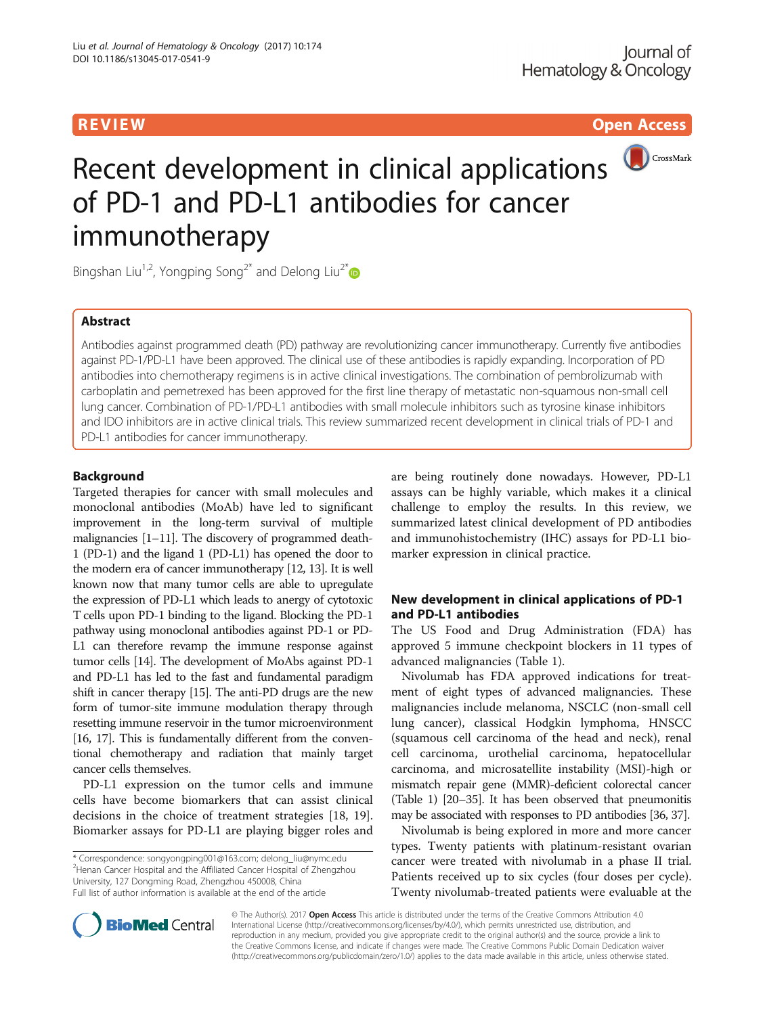# **REVIEW CONTROL** CONTROL CONTROL CONTROL CONTROL CONTROL CONTROL CONTROL CONTROL CONTROL CONTROL CONTROL CONTROL CONTROL CONTROL CONTROL CONTROL CONTROL CONTROL CONTROL CONTROL CONTROL CONTROL CONTROL CONTROL CONTROL CONTR



# Recent development in clinical applications of PD-1 and PD-L1 antibodies for cancer immunotherapy

Bingshan Liu<sup>1,2</sup>, Yongping Song<sup>2\*</sup> and Delong Liu<sup>2\*</sup>

# Abstract

Antibodies against programmed death (PD) pathway are revolutionizing cancer immunotherapy. Currently five antibodies against PD-1/PD-L1 have been approved. The clinical use of these antibodies is rapidly expanding. Incorporation of PD antibodies into chemotherapy regimens is in active clinical investigations. The combination of pembrolizumab with carboplatin and pemetrexed has been approved for the first line therapy of metastatic non-squamous non-small cell lung cancer. Combination of PD-1/PD-L1 antibodies with small molecule inhibitors such as tyrosine kinase inhibitors and IDO inhibitors are in active clinical trials. This review summarized recent development in clinical trials of PD-1 and PD-L1 antibodies for cancer immunotherapy.

### Background

Targeted therapies for cancer with small molecules and monoclonal antibodies (MoAb) have led to significant improvement in the long-term survival of multiple malignancies [\[1](#page-4-0)–[11](#page-4-0)]. The discovery of programmed death-1 (PD-1) and the ligand 1 (PD-L1) has opened the door to the modern era of cancer immunotherapy [\[12, 13\]](#page-4-0). It is well known now that many tumor cells are able to upregulate the expression of PD-L1 which leads to anergy of cytotoxic T cells upon PD-1 binding to the ligand. Blocking the PD-1 pathway using monoclonal antibodies against PD-1 or PD-L1 can therefore revamp the immune response against tumor cells [\[14\]](#page-4-0). The development of MoAbs against PD-1 and PD-L1 has led to the fast and fundamental paradigm shift in cancer therapy [\[15\]](#page-4-0). The anti-PD drugs are the new form of tumor-site immune modulation therapy through resetting immune reservoir in the tumor microenvironment [[16](#page-4-0), [17](#page-4-0)]. This is fundamentally different from the conventional chemotherapy and radiation that mainly target cancer cells themselves.

PD-L1 expression on the tumor cells and immune cells have become biomarkers that can assist clinical decisions in the choice of treatment strategies [\[18](#page-4-0), [19](#page-4-0)]. Biomarker assays for PD-L1 are playing bigger roles and

\* Correspondence: [songyongping001@163.com;](mailto:songyongping001@163.com) [delong\\_liu@nymc.edu](mailto:delong_liu@nymc.edu) <sup>2</sup> <sup>2</sup>Henan Cancer Hospital and the Affiliated Cancer Hospital of Zhengzhou University, 127 Dongming Road, Zhengzhou 450008, China Full list of author information is available at the end of the article

are being routinely done nowadays. However, PD-L1 assays can be highly variable, which makes it a clinical challenge to employ the results. In this review, we summarized latest clinical development of PD antibodies and immunohistochemistry (IHC) assays for PD-L1 biomarker expression in clinical practice.

# New development in clinical applications of PD-1 and PD-L1 antibodies

The US Food and Drug Administration (FDA) has approved 5 immune checkpoint blockers in 11 types of advanced malignancies (Table [1](#page-1-0)).

Nivolumab has FDA approved indications for treatment of eight types of advanced malignancies. These malignancies include melanoma, NSCLC (non-small cell lung cancer), classical Hodgkin lymphoma, HNSCC (squamous cell carcinoma of the head and neck), renal cell carcinoma, urothelial carcinoma, hepatocellular carcinoma, and microsatellite instability (MSI)-high or mismatch repair gene (MMR)-deficient colorectal cancer (Table [1\)](#page-1-0) [[20](#page-4-0)–[35](#page-5-0)]. It has been observed that pneumonitis may be associated with responses to PD antibodies [[36](#page-5-0), [37](#page-5-0)].

Nivolumab is being explored in more and more cancer types. Twenty patients with platinum-resistant ovarian cancer were treated with nivolumab in a phase II trial. Patients received up to six cycles (four doses per cycle). Twenty nivolumab-treated patients were evaluable at the



© The Author(s). 2017 Open Access This article is distributed under the terms of the Creative Commons Attribution 4.0 International License [\(http://creativecommons.org/licenses/by/4.0/](http://creativecommons.org/licenses/by/4.0/)), which permits unrestricted use, distribution, and reproduction in any medium, provided you give appropriate credit to the original author(s) and the source, provide a link to the Creative Commons license, and indicate if changes were made. The Creative Commons Public Domain Dedication waiver [\(http://creativecommons.org/publicdomain/zero/1.0/](http://creativecommons.org/publicdomain/zero/1.0/)) applies to the data made available in this article, unless otherwise stated.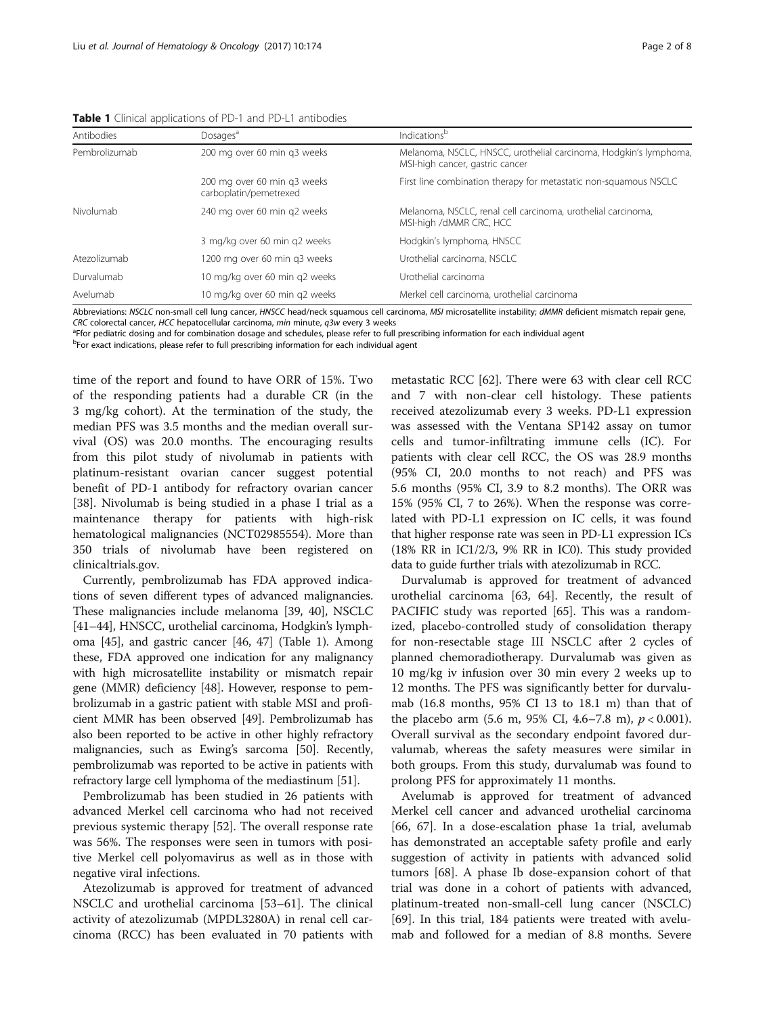| Antibodies    | Dosages <sup>a</sup>                                  | Indications <sup>b</sup>                                                                             |  |
|---------------|-------------------------------------------------------|------------------------------------------------------------------------------------------------------|--|
| Pembrolizumab | 200 mg over 60 min g3 weeks                           | Melanoma, NSCLC, HNSCC, urothelial carcinoma, Hodgkin's lymphoma,<br>MSI-high cancer, gastric cancer |  |
|               | 200 mg over 60 min g3 weeks<br>carboplatin/pemetrexed | First line combination therapy for metastatic non-squamous NSCLC                                     |  |
| Nivolumab     | 240 mg over 60 min g2 weeks                           | Melanoma, NSCLC, renal cell carcinoma, urothelial carcinoma,<br>MSI-high /dMMR CRC, HCC              |  |
|               | 3 mg/kg over 60 min g2 weeks                          | Hodgkin's lymphoma, HNSCC                                                                            |  |
| Atezolizumab  | 1200 mg over 60 min g3 weeks                          | Urothelial carcinoma, NSCLC                                                                          |  |
| Durvalumab    | 10 mg/kg over 60 min g2 weeks                         | Urothelial carcinoma                                                                                 |  |
| Avelumab      | 10 mg/kg over 60 min g2 weeks                         | Merkel cell carcinoma, urothelial carcinoma                                                          |  |
|               |                                                       |                                                                                                      |  |

<span id="page-1-0"></span>Table 1 Clinical applications of PD-1 and PD-L1 antibodies

Abbreviations: NSCLC non-small cell lung cancer, HNSCC head/neck squamous cell carcinoma, MSI microsatellite instability; dMMR deficient mismatch repair gene,

CRC colorectal cancer, HCC hepatocellular carcinoma, min minute,  $q3w$  every 3 weeks

<sup>a</sup>Ffor pediatric dosing and for combination dosage and schedules, please refer to full prescribing information for each individual agent

**PFor exact indications, please refer to full prescribing information for each individual agent** 

time of the report and found to have ORR of 15%. Two of the responding patients had a durable CR (in the 3 mg/kg cohort). At the termination of the study, the median PFS was 3.5 months and the median overall survival (OS) was 20.0 months. The encouraging results from this pilot study of nivolumab in patients with platinum-resistant ovarian cancer suggest potential benefit of PD-1 antibody for refractory ovarian cancer [[38\]](#page-5-0). Nivolumab is being studied in a phase I trial as a maintenance therapy for patients with high-risk hematological malignancies (NCT02985554). More than 350 trials of nivolumab have been registered on [clinicaltrials.gov](http://clinicaltrials.gov).

Currently, pembrolizumab has FDA approved indications of seven different types of advanced malignancies. These malignancies include melanoma [\[39, 40\]](#page-5-0), NSCLC [[41](#page-5-0)–[44\]](#page-5-0), HNSCC, urothelial carcinoma, Hodgkin's lymphoma [[45](#page-5-0)], and gastric cancer [\[46, 47\]](#page-5-0) (Table 1). Among these, FDA approved one indication for any malignancy with high microsatellite instability or mismatch repair gene (MMR) deficiency [\[48\]](#page-5-0). However, response to pembrolizumab in a gastric patient with stable MSI and proficient MMR has been observed [\[49\]](#page-5-0). Pembrolizumab has also been reported to be active in other highly refractory malignancies, such as Ewing's sarcoma [\[50](#page-5-0)]. Recently, pembrolizumab was reported to be active in patients with refractory large cell lymphoma of the mediastinum [\[51](#page-5-0)].

Pembrolizumab has been studied in 26 patients with advanced Merkel cell carcinoma who had not received previous systemic therapy [[52\]](#page-5-0). The overall response rate was 56%. The responses were seen in tumors with positive Merkel cell polyomavirus as well as in those with negative viral infections.

Atezolizumab is approved for treatment of advanced NSCLC and urothelial carcinoma [[53](#page-5-0)–[61](#page-5-0)]. The clinical activity of atezolizumab (MPDL3280A) in renal cell carcinoma (RCC) has been evaluated in 70 patients with metastatic RCC [[62\]](#page-6-0). There were 63 with clear cell RCC and 7 with non-clear cell histology. These patients received atezolizumab every 3 weeks. PD-L1 expression was assessed with the Ventana SP142 assay on tumor cells and tumor-infiltrating immune cells (IC). For patients with clear cell RCC, the OS was 28.9 months (95% CI, 20.0 months to not reach) and PFS was 5.6 months (95% CI, 3.9 to 8.2 months). The ORR was 15% (95% CI, 7 to 26%). When the response was correlated with PD-L1 expression on IC cells, it was found that higher response rate was seen in PD-L1 expression ICs (18% RR in IC1/2/3, 9% RR in IC0). This study provided data to guide further trials with atezolizumab in RCC.

Durvalumab is approved for treatment of advanced urothelial carcinoma [\[63](#page-6-0), [64\]](#page-6-0). Recently, the result of PACIFIC study was reported [\[65](#page-6-0)]. This was a randomized, placebo-controlled study of consolidation therapy for non-resectable stage III NSCLC after 2 cycles of planned chemoradiotherapy. Durvalumab was given as 10 mg/kg iv infusion over 30 min every 2 weeks up to 12 months. The PFS was significantly better for durvalumab (16.8 months, 95% CI 13 to 18.1 m) than that of the placebo arm  $(5.6 \text{ m}, 95\% \text{ CI}, 4.6-7.8 \text{ m}), p < 0.001$ ). Overall survival as the secondary endpoint favored durvalumab, whereas the safety measures were similar in both groups. From this study, durvalumab was found to prolong PFS for approximately 11 months.

Avelumab is approved for treatment of advanced Merkel cell cancer and advanced urothelial carcinoma [[66, 67](#page-6-0)]. In a dose-escalation phase 1a trial, avelumab has demonstrated an acceptable safety profile and early suggestion of activity in patients with advanced solid tumors [\[68](#page-6-0)]. A phase Ib dose-expansion cohort of that trial was done in a cohort of patients with advanced, platinum-treated non-small-cell lung cancer (NSCLC) [[69\]](#page-6-0). In this trial, 184 patients were treated with avelumab and followed for a median of 8.8 months. Severe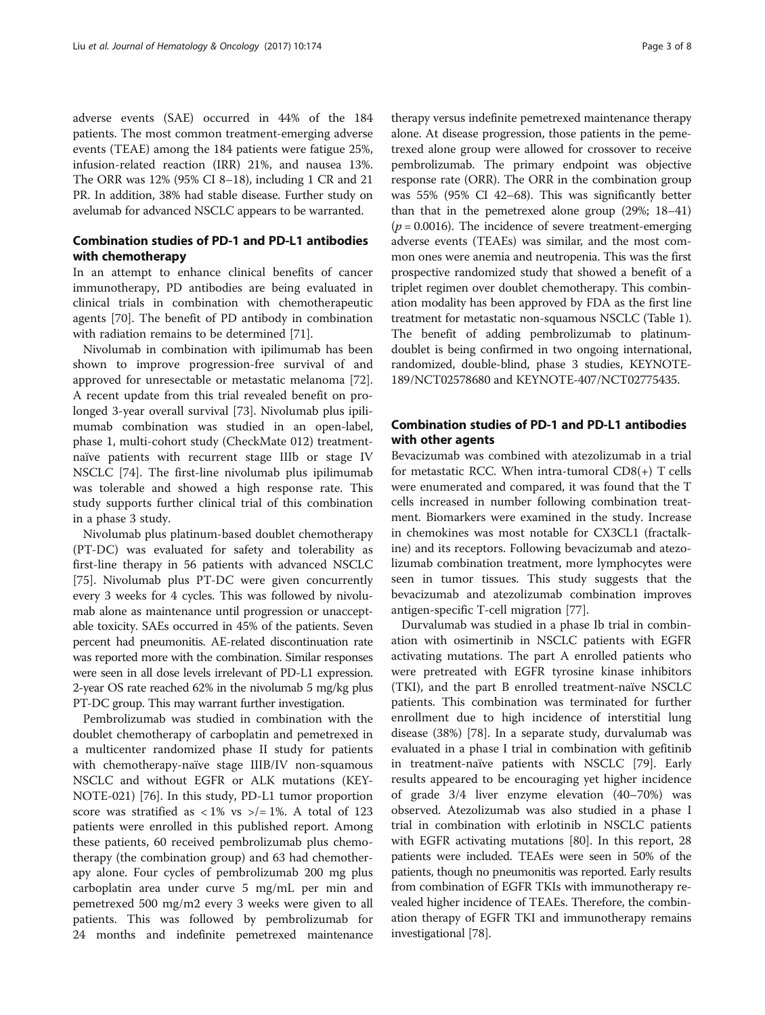adverse events (SAE) occurred in 44% of the 184 patients. The most common treatment-emerging adverse events (TEAE) among the 184 patients were fatigue 25%, infusion-related reaction (IRR) 21%, and nausea 13%. The ORR was 12% (95% CI 8–18), including 1 CR and 21 PR. In addition, 38% had stable disease. Further study on avelumab for advanced NSCLC appears to be warranted.

## Combination studies of PD-1 and PD-L1 antibodies with chemotherapy

In an attempt to enhance clinical benefits of cancer immunotherapy, PD antibodies are being evaluated in clinical trials in combination with chemotherapeutic agents [[70](#page-6-0)]. The benefit of PD antibody in combination with radiation remains to be determined [[71\]](#page-6-0).

Nivolumab in combination with ipilimumab has been shown to improve progression-free survival of and approved for unresectable or metastatic melanoma [\[72](#page-6-0)]. A recent update from this trial revealed benefit on prolonged 3-year overall survival [[73](#page-6-0)]. Nivolumab plus ipilimumab combination was studied in an open-label, phase 1, multi-cohort study (CheckMate 012) treatmentnaïve patients with recurrent stage IIIb or stage IV NSCLC [[74\]](#page-6-0). The first-line nivolumab plus ipilimumab was tolerable and showed a high response rate. This study supports further clinical trial of this combination in a phase 3 study.

Nivolumab plus platinum-based doublet chemotherapy (PT-DC) was evaluated for safety and tolerability as first-line therapy in 56 patients with advanced NSCLC [[75\]](#page-6-0). Nivolumab plus PT-DC were given concurrently every 3 weeks for 4 cycles. This was followed by nivolumab alone as maintenance until progression or unacceptable toxicity. SAEs occurred in 45% of the patients. Seven percent had pneumonitis. AE-related discontinuation rate was reported more with the combination. Similar responses were seen in all dose levels irrelevant of PD-L1 expression. 2-year OS rate reached 62% in the nivolumab 5 mg/kg plus PT-DC group. This may warrant further investigation.

Pembrolizumab was studied in combination with the doublet chemotherapy of carboplatin and pemetrexed in a multicenter randomized phase II study for patients with chemotherapy-naïve stage IIIB/IV non-squamous NSCLC and without EGFR or ALK mutations (KEY-NOTE-021) [[76\]](#page-6-0). In this study, PD-L1 tumor proportion score was stratified as  $\langle 1\% \rangle$  vs  $\langle -1\% \rangle$ . A total of 123 patients were enrolled in this published report. Among these patients, 60 received pembrolizumab plus chemotherapy (the combination group) and 63 had chemotherapy alone. Four cycles of pembrolizumab 200 mg plus carboplatin area under curve 5 mg/mL per min and pemetrexed 500 mg/m2 every 3 weeks were given to all patients. This was followed by pembrolizumab for 24 months and indefinite pemetrexed maintenance therapy versus indefinite pemetrexed maintenance therapy alone. At disease progression, those patients in the pemetrexed alone group were allowed for crossover to receive pembrolizumab. The primary endpoint was objective response rate (ORR). The ORR in the combination group was 55% (95% CI 42–68). This was significantly better than that in the pemetrexed alone group (29%; 18–41)  $(p = 0.0016)$ . The incidence of severe treatment-emerging adverse events (TEAEs) was similar, and the most common ones were anemia and neutropenia. This was the first prospective randomized study that showed a benefit of a triplet regimen over doublet chemotherapy. This combination modality has been approved by FDA as the first line treatment for metastatic non-squamous NSCLC (Table [1](#page-1-0)). The benefit of adding pembrolizumab to platinumdoublet is being confirmed in two ongoing international, randomized, double-blind, phase 3 studies, KEYNOTE-189/NCT02578680 and KEYNOTE-407/NCT02775435.

# Combination studies of PD-1 and PD-L1 antibodies with other agents

Bevacizumab was combined with atezolizumab in a trial for metastatic RCC. When intra-tumoral CD8(+) T cells were enumerated and compared, it was found that the T cells increased in number following combination treatment. Biomarkers were examined in the study. Increase in chemokines was most notable for CX3CL1 (fractalkine) and its receptors. Following bevacizumab and atezolizumab combination treatment, more lymphocytes were seen in tumor tissues. This study suggests that the bevacizumab and atezolizumab combination improves antigen-specific T-cell migration [[77](#page-6-0)].

Durvalumab was studied in a phase Ib trial in combination with osimertinib in NSCLC patients with EGFR activating mutations. The part A enrolled patients who were pretreated with EGFR tyrosine kinase inhibitors (TKI), and the part B enrolled treatment-naïve NSCLC patients. This combination was terminated for further enrollment due to high incidence of interstitial lung disease (38%) [[78\]](#page-6-0). In a separate study, durvalumab was evaluated in a phase I trial in combination with gefitinib in treatment-naïve patients with NSCLC [[79\]](#page-6-0). Early results appeared to be encouraging yet higher incidence of grade 3/4 liver enzyme elevation (40–70%) was observed. Atezolizumab was also studied in a phase I trial in combination with erlotinib in NSCLC patients with EGFR activating mutations [\[80](#page-6-0)]. In this report, 28 patients were included. TEAEs were seen in 50% of the patients, though no pneumonitis was reported. Early results from combination of EGFR TKIs with immunotherapy revealed higher incidence of TEAEs. Therefore, the combination therapy of EGFR TKI and immunotherapy remains investigational [[78](#page-6-0)].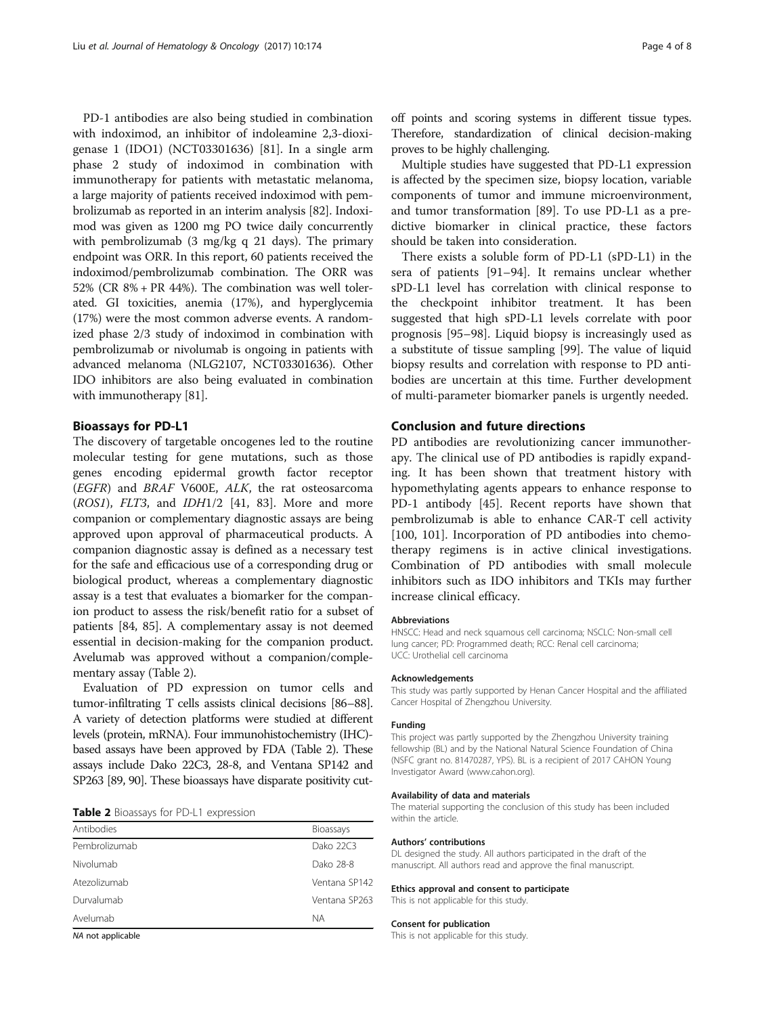PD-1 antibodies are also being studied in combination with indoximod, an inhibitor of indoleamine 2,3-dioxigenase 1 (IDO1) (NCT03301636) [\[81](#page-6-0)]. In a single arm phase 2 study of indoximod in combination with immunotherapy for patients with metastatic melanoma, a large majority of patients received indoximod with pembrolizumab as reported in an interim analysis [[82](#page-6-0)]. Indoximod was given as 1200 mg PO twice daily concurrently with pembrolizumab (3 mg/kg q 21 days). The primary endpoint was ORR. In this report, 60 patients received the indoximod/pembrolizumab combination. The ORR was 52% (CR 8% + PR 44%). The combination was well tolerated. GI toxicities, anemia (17%), and hyperglycemia (17%) were the most common adverse events. A randomized phase 2/3 study of indoximod in combination with pembrolizumab or nivolumab is ongoing in patients with advanced melanoma (NLG2107, NCT03301636). Other IDO inhibitors are also being evaluated in combination with immunotherapy [[81](#page-6-0)].

#### Bioassays for PD-L1

The discovery of targetable oncogenes led to the routine molecular testing for gene mutations, such as those genes encoding epidermal growth factor receptor (EGFR) and BRAF V600E, ALK, the rat osteosarcoma (ROS1), FLT3, and IDH1/2 [\[41](#page-5-0), [83\]](#page-6-0). More and more companion or complementary diagnostic assays are being approved upon approval of pharmaceutical products. A companion diagnostic assay is defined as a necessary test for the safe and efficacious use of a corresponding drug or biological product, whereas a complementary diagnostic assay is a test that evaluates a biomarker for the companion product to assess the risk/benefit ratio for a subset of patients [\[84, 85\]](#page-6-0). A complementary assay is not deemed essential in decision-making for the companion product. Avelumab was approved without a companion/complementary assay (Table 2).

Evaluation of PD expression on tumor cells and tumor-infiltrating T cells assists clinical decisions [[86](#page-6-0)–[88](#page-6-0)]. A variety of detection platforms were studied at different levels (protein, mRNA). Four immunohistochemistry (IHC) based assays have been approved by FDA (Table 2). These assays include Dako 22C3, 28-8, and Ventana SP142 and SP263 [\[89, 90](#page-6-0)]. These bioassays have disparate positivity cut-

|  |  |  |  | Table 2 Bioassays for PD-L1 expression |
|--|--|--|--|----------------------------------------|
|--|--|--|--|----------------------------------------|

| Antibodies    | Bioassays                 |
|---------------|---------------------------|
| Pembrolizumab | Dako 22C3                 |
| Nivolumab     | Dako 28-8                 |
| Atezolizumab  | Ventana SP142             |
| Durvalumab    | Ventana SP <sub>263</sub> |
| Avelumab      | <b>NA</b>                 |
|               |                           |

NA not applicable

off points and scoring systems in different tissue types. Therefore, standardization of clinical decision-making proves to be highly challenging.

Multiple studies have suggested that PD-L1 expression is affected by the specimen size, biopsy location, variable components of tumor and immune microenvironment, and tumor transformation [\[89](#page-6-0)]. To use PD-L1 as a predictive biomarker in clinical practice, these factors should be taken into consideration.

There exists a soluble form of PD-L1 (sPD-L1) in the sera of patients [[91](#page-6-0)–[94\]](#page-7-0). It remains unclear whether sPD-L1 level has correlation with clinical response to the checkpoint inhibitor treatment. It has been suggested that high sPD-L1 levels correlate with poor prognosis [[95](#page-7-0)–[98\]](#page-7-0). Liquid biopsy is increasingly used as a substitute of tissue sampling [\[99](#page-7-0)]. The value of liquid biopsy results and correlation with response to PD antibodies are uncertain at this time. Further development of multi-parameter biomarker panels is urgently needed.

#### Conclusion and future directions

PD antibodies are revolutionizing cancer immunotherapy. The clinical use of PD antibodies is rapidly expanding. It has been shown that treatment history with hypomethylating agents appears to enhance response to PD-1 antibody [\[45\]](#page-5-0). Recent reports have shown that pembrolizumab is able to enhance CAR-T cell activity [[100, 101](#page-7-0)]. Incorporation of PD antibodies into chemotherapy regimens is in active clinical investigations. Combination of PD antibodies with small molecule inhibitors such as IDO inhibitors and TKIs may further increase clinical efficacy.

#### **Abbreviations**

HNSCC: Head and neck squamous cell carcinoma; NSCLC: Non-small cell lung cancer; PD: Programmed death; RCC: Renal cell carcinoma; UCC: Urothelial cell carcinoma

#### Acknowledgements

This study was partly supported by Henan Cancer Hospital and the affiliated Cancer Hospital of Zhengzhou University.

#### Funding

This project was partly supported by the Zhengzhou University training fellowship (BL) and by the National Natural Science Foundation of China (NSFC grant no. 81470287, YPS). BL is a recipient of 2017 CAHON Young Investigator Award [\(www.cahon.org](http://www.cahon.org)).

#### Availability of data and materials

The material supporting the conclusion of this study has been included within the article.

#### Authors' contributions

DL designed the study. All authors participated in the draft of the manuscript. All authors read and approve the final manuscript.

Ethics approval and consent to participate

# This is not applicable for this study.

Consent for publication This is not applicable for this study.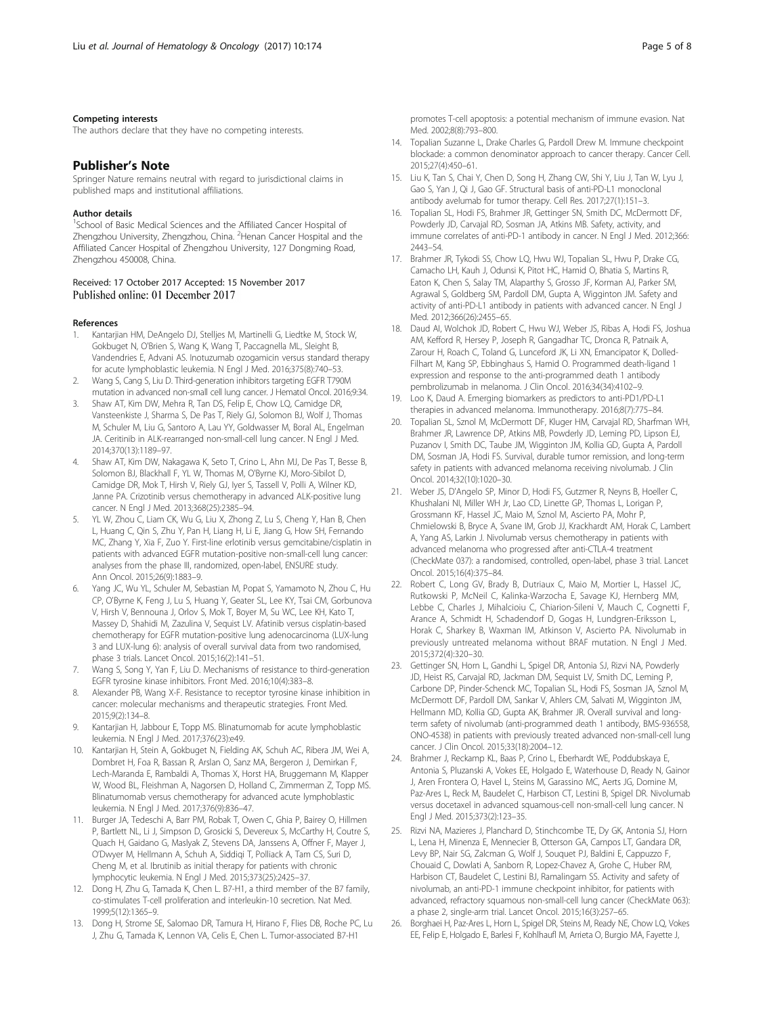#### <span id="page-4-0"></span>Competing interests

The authors declare that they have no competing interests.

#### Publisher's Note

Springer Nature remains neutral with regard to jurisdictional claims in published maps and institutional affiliations.

#### Author details

<sup>1</sup>School of Basic Medical Sciences and the Affiliated Cancer Hospital of Zhengzhou University, Zhengzhou, China. <sup>2</sup>Henan Cancer Hospital and the Affiliated Cancer Hospital of Zhengzhou University, 127 Dongming Road, Zhengzhou 450008, China.

#### Received: 17 October 2017 Accepted: 15 November 2017 Published online: 01 December 2017

#### References

- Kantarjian HM, DeAngelo DJ, Stelljes M, Martinelli G, Liedtke M, Stock W, Gokbuget N, O'Brien S, Wang K, Wang T, Paccagnella ML, Sleight B, Vandendries E, Advani AS. Inotuzumab ozogamicin versus standard therapy for acute lymphoblastic leukemia. N Engl J Med. 2016;375(8):740–53.
- 2. Wang S, Cang S, Liu D. Third-generation inhibitors targeting EGFR T790M mutation in advanced non-small cell lung cancer. J Hematol Oncol. 2016;9:34.
- Shaw AT, Kim DW, Mehra R, Tan DS, Felip E, Chow LQ, Camidge DR, Vansteenkiste J, Sharma S, De Pas T, Riely GJ, Solomon BJ, Wolf J, Thomas M, Schuler M, Liu G, Santoro A, Lau YY, Goldwasser M, Boral AL, Engelman JA. Ceritinib in ALK-rearranged non-small-cell lung cancer. N Engl J Med. 2014;370(13):1189–97.
- 4. Shaw AT, Kim DW, Nakagawa K, Seto T, Crino L, Ahn MJ, De Pas T, Besse B, Solomon BJ, Blackhall F, YL W, Thomas M, O'Byrne KJ, Moro-Sibilot D, Camidge DR, Mok T, Hirsh V, Riely GJ, Iyer S, Tassell V, Polli A, Wilner KD, Janne PA. Crizotinib versus chemotherapy in advanced ALK-positive lung cancer. N Engl J Med. 2013;368(25):2385–94.
- 5. YL W, Zhou C, Liam CK, Wu G, Liu X, Zhong Z, Lu S, Cheng Y, Han B, Chen L, Huang C, Qin S, Zhu Y, Pan H, Liang H, Li E, Jiang G, How SH, Fernando MC, Zhang Y, Xia F, Zuo Y. First-line erlotinib versus gemcitabine/cisplatin in patients with advanced EGFR mutation-positive non-small-cell lung cancer: analyses from the phase III, randomized, open-label, ENSURE study. Ann Oncol. 2015;26(9):1883–9.
- Yang JC, Wu YL, Schuler M, Sebastian M, Popat S, Yamamoto N, Zhou C, Hu CP, O'Byrne K, Feng J, Lu S, Huang Y, Geater SL, Lee KY, Tsai CM, Gorbunova V, Hirsh V, Bennouna J, Orlov S, Mok T, Boyer M, Su WC, Lee KH, Kato T, Massey D, Shahidi M, Zazulina V, Sequist LV. Afatinib versus cisplatin-based chemotherapy for EGFR mutation-positive lung adenocarcinoma (LUX-lung 3 and LUX-lung 6): analysis of overall survival data from two randomised, phase 3 trials. Lancet Oncol. 2015;16(2):141–51.
- 7. Wang S, Song Y, Yan F, Liu D. Mechanisms of resistance to third-generation EGFR tyrosine kinase inhibitors. Front Med. 2016;10(4):383–8.
- 8. Alexander PB, Wang X-F. Resistance to receptor tyrosine kinase inhibition in cancer: molecular mechanisms and therapeutic strategies. Front Med. 2015;9(2):134–8.
- Kantarjian H, Jabbour E, Topp MS. Blinatumomab for acute lymphoblastic leukemia. N Engl J Med. 2017;376(23):e49.
- 10. Kantarjian H, Stein A, Gokbuget N, Fielding AK, Schuh AC, Ribera JM, Wei A, Dombret H, Foa R, Bassan R, Arslan O, Sanz MA, Bergeron J, Demirkan F, Lech-Maranda E, Rambaldi A, Thomas X, Horst HA, Bruggemann M, Klapper W, Wood BL, Fleishman A, Nagorsen D, Holland C, Zimmerman Z, Topp MS. Blinatumomab versus chemotherapy for advanced acute lymphoblastic leukemia. N Engl J Med. 2017;376(9):836–47.
- 11. Burger JA, Tedeschi A, Barr PM, Robak T, Owen C, Ghia P, Bairey O, Hillmen P, Bartlett NL, Li J, Simpson D, Grosicki S, Devereux S, McCarthy H, Coutre S, Quach H, Gaidano G, Maslyak Z, Stevens DA, Janssens A, Offner F, Mayer J, O'Dwyer M, Hellmann A, Schuh A, Siddiqi T, Polliack A, Tam CS, Suri D, Cheng M, et al. Ibrutinib as initial therapy for patients with chronic lymphocytic leukemia. N Engl J Med. 2015;373(25):2425–37.
- 12. Dong H, Zhu G, Tamada K, Chen L. B7-H1, a third member of the B7 family, co-stimulates T-cell proliferation and interleukin-10 secretion. Nat Med. 1999;5(12):1365–9.
- 13. Dong H, Strome SE, Salomao DR, Tamura H, Hirano F, Flies DB, Roche PC, Lu J, Zhu G, Tamada K, Lennon VA, Celis E, Chen L. Tumor-associated B7-H1

promotes T-cell apoptosis: a potential mechanism of immune evasion. Nat Med. 2002;8(8):793–800.

- 14. Topalian Suzanne L, Drake Charles G, Pardoll Drew M. Immune checkpoint blockade: a common denominator approach to cancer therapy. Cancer Cell. 2015;27(4):450–61.
- 15. Liu K, Tan S, Chai Y, Chen D, Song H, Zhang CW, Shi Y, Liu J, Tan W, Lyu J, Gao S, Yan J, Qi J, Gao GF. Structural basis of anti-PD-L1 monoclonal antibody avelumab for tumor therapy. Cell Res. 2017;27(1):151–3.
- 16. Topalian SL, Hodi FS, Brahmer JR, Gettinger SN, Smith DC, McDermott DF, Powderly JD, Carvajal RD, Sosman JA, Atkins MB. Safety, activity, and immune correlates of anti-PD-1 antibody in cancer. N Engl J Med. 2012;366: 2443–54.
- 17. Brahmer JR, Tykodi SS, Chow LQ, Hwu WJ, Topalian SL, Hwu P, Drake CG, Camacho LH, Kauh J, Odunsi K, Pitot HC, Hamid O, Bhatia S, Martins R, Eaton K, Chen S, Salay TM, Alaparthy S, Grosso JF, Korman AJ, Parker SM, Agrawal S, Goldberg SM, Pardoll DM, Gupta A, Wigginton JM. Safety and activity of anti-PD-L1 antibody in patients with advanced cancer. N Engl J Med. 2012;366(26):2455–65.
- 18. Daud AI, Wolchok JD, Robert C, Hwu WJ, Weber JS, Ribas A, Hodi FS, Joshua AM, Kefford R, Hersey P, Joseph R, Gangadhar TC, Dronca R, Patnaik A, Zarour H, Roach C, Toland G, Lunceford JK, Li XN, Emancipator K, Dolled-Filhart M, Kang SP, Ebbinghaus S, Hamid O. Programmed death-ligand 1 expression and response to the anti-programmed death 1 antibody pembrolizumab in melanoma. J Clin Oncol. 2016;34(34):4102–9.
- 19. Loo K, Daud A. Emerging biomarkers as predictors to anti-PD1/PD-L1 therapies in advanced melanoma. Immunotherapy. 2016;8(7):775–84.
- 20. Topalian SL, Sznol M, McDermott DF, Kluger HM, Carvajal RD, Sharfman WH, Brahmer JR, Lawrence DP, Atkins MB, Powderly JD, Leming PD, Lipson EJ, Puzanov I, Smith DC, Taube JM, Wigginton JM, Kollia GD, Gupta A, Pardoll DM, Sosman JA, Hodi FS. Survival, durable tumor remission, and long-term safety in patients with advanced melanoma receiving nivolumab. J Clin Oncol. 2014;32(10):1020–30.
- 21. Weber JS, D'Angelo SP, Minor D, Hodi FS, Gutzmer R, Neyns B, Hoeller C, Khushalani NI, Miller WH Jr, Lao CD, Linette GP, Thomas L, Lorigan P, Grossmann KF, Hassel JC, Maio M, Sznol M, Ascierto PA, Mohr P, Chmielowski B, Bryce A, Svane IM, Grob JJ, Krackhardt AM, Horak C, Lambert A, Yang AS, Larkin J. Nivolumab versus chemotherapy in patients with advanced melanoma who progressed after anti-CTLA-4 treatment (CheckMate 037): a randomised, controlled, open-label, phase 3 trial. Lancet Oncol. 2015;16(4):375–84.
- 22. Robert C, Long GV, Brady B, Dutriaux C, Maio M, Mortier L, Hassel JC, Rutkowski P, McNeil C, Kalinka-Warzocha E, Savage KJ, Hernberg MM, Lebbe C, Charles J, Mihalcioiu C, Chiarion-Sileni V, Mauch C, Cognetti F, Arance A, Schmidt H, Schadendorf D, Gogas H, Lundgren-Eriksson L, Horak C, Sharkey B, Waxman IM, Atkinson V, Ascierto PA. Nivolumab in previously untreated melanoma without BRAF mutation. N Engl J Med. 2015;372(4):320–30.
- 23. Gettinger SN, Horn L, Gandhi L, Spigel DR, Antonia SJ, Rizvi NA, Powderly JD, Heist RS, Carvajal RD, Jackman DM, Sequist LV, Smith DC, Leming P, Carbone DP, Pinder-Schenck MC, Topalian SL, Hodi FS, Sosman JA, Sznol M, McDermott DF, Pardoll DM, Sankar V, Ahlers CM, Salvati M, Wigginton JM, Hellmann MD, Kollia GD, Gupta AK, Brahmer JR. Overall survival and longterm safety of nivolumab (anti-programmed death 1 antibody, BMS-936558, ONO-4538) in patients with previously treated advanced non-small-cell lung cancer. J Clin Oncol. 2015;33(18):2004–12.
- 24. Brahmer J, Reckamp KL, Baas P, Crino L, Eberhardt WE, Poddubskaya E, Antonia S, Pluzanski A, Vokes EE, Holgado E, Waterhouse D, Ready N, Gainor J, Aren Frontera O, Havel L, Steins M, Garassino MC, Aerts JG, Domine M, Paz-Ares L, Reck M, Baudelet C, Harbison CT, Lestini B, Spigel DR. Nivolumab versus docetaxel in advanced squamous-cell non-small-cell lung cancer. N Engl J Med. 2015;373(2):123–35.
- 25. Rizvi NA, Mazieres J, Planchard D, Stinchcombe TE, Dy GK, Antonia SJ, Horn L, Lena H, Minenza E, Mennecier B, Otterson GA, Campos LT, Gandara DR, Levy BP, Nair SG, Zalcman G, Wolf J, Souquet PJ, Baldini E, Cappuzzo F, Chouaid C, Dowlati A, Sanborn R, Lopez-Chavez A, Grohe C, Huber RM, Harbison CT, Baudelet C, Lestini BJ, Ramalingam SS. Activity and safety of nivolumab, an anti-PD-1 immune checkpoint inhibitor, for patients with advanced, refractory squamous non-small-cell lung cancer (CheckMate 063): a phase 2, single-arm trial. Lancet Oncol. 2015;16(3):257–65.
- 26. Borghaei H, Paz-Ares L, Horn L, Spigel DR, Steins M, Ready NE, Chow LQ, Vokes EE, Felip E, Holgado E, Barlesi F, Kohlhaufl M, Arrieta O, Burgio MA, Fayette J,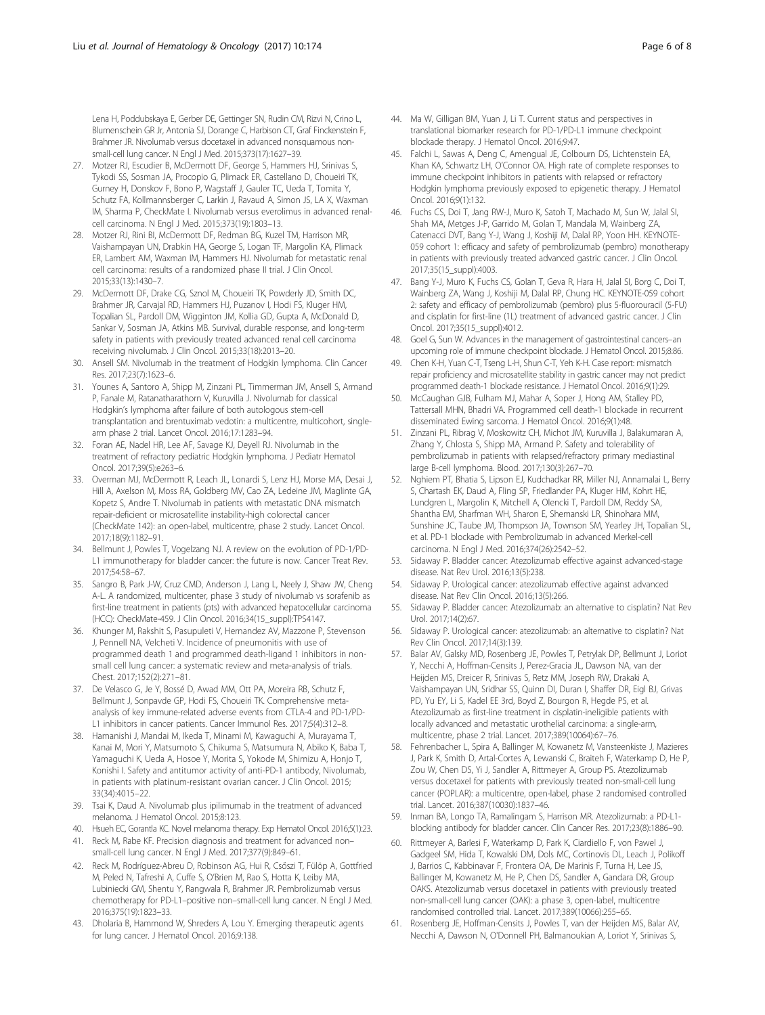<span id="page-5-0"></span>Lena H, Poddubskaya E, Gerber DE, Gettinger SN, Rudin CM, Rizvi N, Crino L, Blumenschein GR Jr, Antonia SJ, Dorange C, Harbison CT, Graf Finckenstein F, Brahmer JR. Nivolumab versus docetaxel in advanced nonsquamous nonsmall-cell lung cancer. N Engl J Med. 2015;373(17):1627–39.

- 27. Motzer RJ, Escudier B, McDermott DF, George S, Hammers HJ, Srinivas S, Tykodi SS, Sosman JA, Procopio G, Plimack ER, Castellano D, Choueiri TK, Gurney H, Donskov F, Bono P, Wagstaff J, Gauler TC, Ueda T, Tomita Y, Schutz FA, Kollmannsberger C, Larkin J, Ravaud A, Simon JS, LA X, Waxman IM, Sharma P, CheckMate I. Nivolumab versus everolimus in advanced renalcell carcinoma. N Engl J Med. 2015;373(19):1803–13.
- 28. Motzer RJ, Rini BI, McDermott DF, Redman BG, Kuzel TM, Harrison MR, Vaishampayan UN, Drabkin HA, George S, Logan TF, Margolin KA, Plimack ER, Lambert AM, Waxman IM, Hammers HJ. Nivolumab for metastatic renal cell carcinoma: results of a randomized phase II trial. J Clin Oncol. 2015;33(13):1430–7.
- 29. McDermott DF, Drake CG, Sznol M, Choueiri TK, Powderly JD, Smith DC, Brahmer JR, Carvajal RD, Hammers HJ, Puzanov I, Hodi FS, Kluger HM, Topalian SL, Pardoll DM, Wigginton JM, Kollia GD, Gupta A, McDonald D, Sankar V, Sosman JA, Atkins MB. Survival, durable response, and long-term safety in patients with previously treated advanced renal cell carcinoma receiving nivolumab. J Clin Oncol. 2015;33(18):2013–20.
- 30. Ansell SM. Nivolumab in the treatment of Hodgkin lymphoma. Clin Cancer Res. 2017;23(7):1623–6.
- 31. Younes A, Santoro A, Shipp M, Zinzani PL, Timmerman JM, Ansell S, Armand P, Fanale M, Ratanatharathorn V, Kuruvilla J. Nivolumab for classical Hodgkin's lymphoma after failure of both autologous stem-cell transplantation and brentuximab vedotin: a multicentre, multicohort, singlearm phase 2 trial. Lancet Oncol. 2016;17:1283–94.
- 32. Foran AE, Nadel HR, Lee AF, Savage KJ, Deyell RJ. Nivolumab in the treatment of refractory pediatric Hodgkin lymphoma. J Pediatr Hematol Oncol. 2017;39(5):e263–6.
- 33. Overman MJ, McDermott R, Leach JL, Lonardi S, Lenz HJ, Morse MA, Desai J, Hill A, Axelson M, Moss RA, Goldberg MV, Cao ZA, Ledeine JM, Maglinte GA, Kopetz S, Andre T. Nivolumab in patients with metastatic DNA mismatch repair-deficient or microsatellite instability-high colorectal cancer (CheckMate 142): an open-label, multicentre, phase 2 study. Lancet Oncol. 2017;18(9):1182–91.
- 34. Bellmunt J, Powles T, Vogelzang NJ. A review on the evolution of PD-1/PD-L1 immunotherapy for bladder cancer: the future is now. Cancer Treat Rev. 2017;54:58–67.
- 35. Sangro B, Park J-W, Cruz CMD, Anderson J, Lang L, Neely J, Shaw JW, Cheng A-L. A randomized, multicenter, phase 3 study of nivolumab vs sorafenib as first-line treatment in patients (pts) with advanced hepatocellular carcinoma (HCC): CheckMate-459. J Clin Oncol. 2016;34(15\_suppl):TPS4147.
- 36. Khunger M, Rakshit S, Pasupuleti V, Hernandez AV, Mazzone P, Stevenson J, Pennell NA, Velcheti V. Incidence of pneumonitis with use of programmed death 1 and programmed death-ligand 1 inhibitors in nonsmall cell lung cancer: a systematic review and meta-analysis of trials. Chest. 2017;152(2):271–81.
- 37. De Velasco G, Je Y, Bossé D, Awad MM, Ott PA, Moreira RB, Schutz F, Bellmunt J, Sonpavde GP, Hodi FS, Choueiri TK. Comprehensive metaanalysis of key immune-related adverse events from CTLA-4 and PD-1/PD-L1 inhibitors in cancer patients. Cancer Immunol Res. 2017;5(4):312–8.
- 38. Hamanishi J, Mandai M, Ikeda T, Minami M, Kawaguchi A, Murayama T, Kanai M, Mori Y, Matsumoto S, Chikuma S, Matsumura N, Abiko K, Baba T, Yamaguchi K, Ueda A, Hosoe Y, Morita S, Yokode M, Shimizu A, Honjo T, Konishi I. Safety and antitumor activity of anti-PD-1 antibody, Nivolumab, in patients with platinum-resistant ovarian cancer. J Clin Oncol. 2015; 33(34):4015–22.
- 39. Tsai K, Daud A. Nivolumab plus ipilimumab in the treatment of advanced melanoma. J Hematol Oncol. 2015;8:123.
- 40. Hsueh EC, Gorantla KC. Novel melanoma therapy. Exp Hematol Oncol. 2016;5(1):23.
- 41. Reck M, Rabe KF. Precision diagnosis and treatment for advanced non– small-cell lung cancer. N Engl J Med. 2017;377(9):849–61.
- 42. Reck M, Rodríguez-Abreu D, Robinson AG, Hui R, Csőszi T, Fülöp A, Gottfried M, Peled N, Tafreshi A, Cuffe S, O'Brien M, Rao S, Hotta K, Leiby MA, Lubiniecki GM, Shentu Y, Rangwala R, Brahmer JR. Pembrolizumab versus chemotherapy for PD-L1–positive non–small-cell lung cancer. N Engl J Med. 2016;375(19):1823–33.
- 43. Dholaria B, Hammond W, Shreders A, Lou Y. Emerging therapeutic agents for lung cancer. J Hematol Oncol. 2016;9:138.
- 44. Ma W, Gilligan BM, Yuan J, Li T. Current status and perspectives in translational biomarker research for PD-1/PD-L1 immune checkpoint blockade therapy. J Hematol Oncol. 2016;9:47.
- 45. Falchi L, Sawas A, Deng C, Amengual JE, Colbourn DS, Lichtenstein EA, Khan KA, Schwartz LH, O'Connor OA. High rate of complete responses to immune checkpoint inhibitors in patients with relapsed or refractory Hodgkin lymphoma previously exposed to epigenetic therapy. J Hematol Oncol. 2016;9(1):132.
- 46. Fuchs CS, Doi T, Jang RW-J, Muro K, Satoh T, Machado M, Sun W, Jalal SI, Shah MA, Metges J-P, Garrido M, Golan T, Mandala M, Wainberg ZA, Catenacci DVT, Bang Y-J, Wang J, Koshiji M, Dalal RP, Yoon HH. KEYNOTE-059 cohort 1: efficacy and safety of pembrolizumab (pembro) monotherapy in patients with previously treated advanced gastric cancer. J Clin Oncol. 2017;35(15\_suppl):4003.
- 47. Bang Y-J, Muro K, Fuchs CS, Golan T, Geva R, Hara H, Jalal SI, Borg C, Doi T, Wainberg ZA, Wang J, Koshiji M, Dalal RP, Chung HC. KEYNOTE-059 cohort 2: safety and efficacy of pembrolizumab (pembro) plus 5-fluorouracil (5-FU) and cisplatin for first-line (1L) treatment of advanced gastric cancer. J Clin Oncol. 2017;35(15\_suppl):4012.
- 48. Goel G, Sun W. Advances in the management of gastrointestinal cancers–an upcoming role of immune checkpoint blockade. J Hematol Oncol. 2015;8:86.
- 49. Chen K-H, Yuan C-T, Tseng L-H, Shun C-T, Yeh K-H. Case report: mismatch repair proficiency and microsatellite stability in gastric cancer may not predict programmed death-1 blockade resistance. J Hematol Oncol. 2016;9(1):29.
- 50. McCaughan GJB, Fulham MJ, Mahar A, Soper J, Hong AM, Stalley PD, Tattersall MHN, Bhadri VA. Programmed cell death-1 blockade in recurrent disseminated Ewing sarcoma. J Hematol Oncol. 2016;9(1):48.
- 51. Zinzani PL, Ribrag V, Moskowitz CH, Michot JM, Kuruvilla J, Balakumaran A, Zhang Y, Chlosta S, Shipp MA, Armand P. Safety and tolerability of pembrolizumab in patients with relapsed/refractory primary mediastinal large B-cell lymphoma. Blood. 2017;130(3):267–70.
- 52. Nghiem PT, Bhatia S, Lipson EJ, Kudchadkar RR, Miller NJ, Annamalai L, Berry S, Chartash EK, Daud A, Fling SP, Friedlander PA, Kluger HM, Kohrt HE, Lundgren L, Margolin K, Mitchell A, Olencki T, Pardoll DM, Reddy SA, Shantha EM, Sharfman WH, Sharon E, Shemanski LR, Shinohara MM, Sunshine JC, Taube JM, Thompson JA, Townson SM, Yearley JH, Topalian SL, et al. PD-1 blockade with Pembrolizumab in advanced Merkel-cell carcinoma. N Engl J Med. 2016;374(26):2542–52.
- 53. Sidaway P. Bladder cancer: Atezolizumab effective against advanced-stage disease. Nat Rev Urol. 2016;13(5):238.
- 54. Sidaway P. Urological cancer: atezolizumab effective against advanced disease. Nat Rev Clin Oncol. 2016;13(5):266.
- 55. Sidaway P. Bladder cancer: Atezolizumab: an alternative to cisplatin? Nat Rev Urol. 2017;14(2):67.
- 56. Sidaway P. Urological cancer: atezolizumab: an alternative to cisplatin? Nat Rev Clin Oncol. 2017;14(3):139.
- 57. Balar AV, Galsky MD, Rosenberg JE, Powles T, Petrylak DP, Bellmunt J, Loriot Y, Necchi A, Hoffman-Censits J, Perez-Gracia JL, Dawson NA, van der Heijden MS, Dreicer R, Srinivas S, Retz MM, Joseph RW, Drakaki A, Vaishampayan UN, Sridhar SS, Quinn DI, Duran I, Shaffer DR, Eigl BJ, Grivas PD, Yu EY, Li S, Kadel EE 3rd, Boyd Z, Bourgon R, Hegde PS, et al. Atezolizumab as first-line treatment in cisplatin-ineligible patients with locally advanced and metastatic urothelial carcinoma: a single-arm, multicentre, phase 2 trial. Lancet. 2017;389(10064):67–76.
- 58. Fehrenbacher L, Spira A, Ballinger M, Kowanetz M, Vansteenkiste J, Mazieres J, Park K, Smith D, Artal-Cortes A, Lewanski C, Braiteh F, Waterkamp D, He P, Zou W, Chen DS, Yi J, Sandler A, Rittmeyer A, Group PS. Atezolizumab versus docetaxel for patients with previously treated non-small-cell lung cancer (POPLAR): a multicentre, open-label, phase 2 randomised controlled trial. Lancet. 2016;387(10030):1837–46.
- 59. Inman BA, Longo TA, Ramalingam S, Harrison MR. Atezolizumab: a PD-L1 blocking antibody for bladder cancer. Clin Cancer Res. 2017;23(8):1886–90.
- 60. Rittmeyer A, Barlesi F, Waterkamp D, Park K, Ciardiello F, von Pawel J, Gadgeel SM, Hida T, Kowalski DM, Dols MC, Cortinovis DL, Leach J, Polikoff J, Barrios C, Kabbinavar F, Frontera OA, De Marinis F, Turna H, Lee JS, Ballinger M, Kowanetz M, He P, Chen DS, Sandler A, Gandara DR, Group OAKS. Atezolizumab versus docetaxel in patients with previously treated non-small-cell lung cancer (OAK): a phase 3, open-label, multicentre randomised controlled trial. Lancet. 2017;389(10066):255–65.
- 61. Rosenberg JE, Hoffman-Censits J, Powles T, van der Heijden MS, Balar AV, Necchi A, Dawson N, O'Donnell PH, Balmanoukian A, Loriot Y, Srinivas S,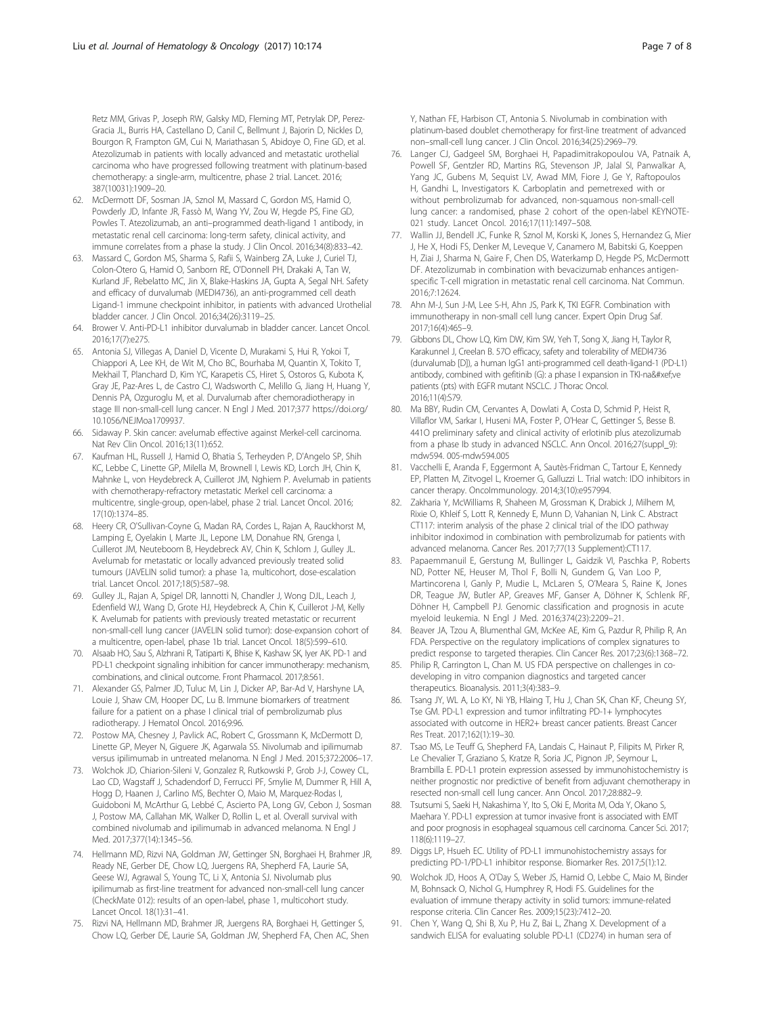<span id="page-6-0"></span>Retz MM, Grivas P, Joseph RW, Galsky MD, Fleming MT, Petrylak DP, Perez-Gracia JL, Burris HA, Castellano D, Canil C, Bellmunt J, Bajorin D, Nickles D, Bourgon R, Frampton GM, Cui N, Mariathasan S, Abidoye O, Fine GD, et al. Atezolizumab in patients with locally advanced and metastatic urothelial carcinoma who have progressed following treatment with platinum-based chemotherapy: a single-arm, multicentre, phase 2 trial. Lancet. 2016; 387(10031):1909–20.

- 62. McDermott DF, Sosman JA, Sznol M, Massard C, Gordon MS, Hamid O, Powderly JD, Infante JR, Fassò M, Wang YV, Zou W, Hegde PS, Fine GD, Powles T. Atezolizumab, an anti–programmed death-ligand 1 antibody, in metastatic renal cell carcinoma: long-term safety, clinical activity, and immune correlates from a phase Ia study. J Clin Oncol. 2016;34(8):833–42.
- 63. Massard C, Gordon MS, Sharma S, Rafii S, Wainberg ZA, Luke J, Curiel TJ, Colon-Otero G, Hamid O, Sanborn RE, O'Donnell PH, Drakaki A, Tan W, Kurland JF, Rebelatto MC, Jin X, Blake-Haskins JA, Gupta A, Segal NH. Safety and efficacy of durvalumab (MEDI4736), an anti-programmed cell death Ligand-1 immune checkpoint inhibitor, in patients with advanced Urothelial bladder cancer. J Clin Oncol. 2016;34(26):3119–25.
- 64. Brower V. Anti-PD-L1 inhibitor durvalumab in bladder cancer. Lancet Oncol. 2016;17(7):e275.
- 65. Antonia SJ, Villegas A, Daniel D, Vicente D, Murakami S, Hui R, Yokoi T, Chiappori A, Lee KH, de Wit M, Cho BC, Bourhaba M, Quantin X, Tokito T, Mekhail T, Planchard D, Kim YC, Karapetis CS, Hiret S, Ostoros G, Kubota K, Gray JE, Paz-Ares L, de Castro CJ, Wadsworth C, Melillo G, Jiang H, Huang Y, Dennis PA, Ozguroglu M, et al. Durvalumab after chemoradiotherapy in stage III non-small-cell lung cancer. N Engl J Med. 2017;377 [https://doi.org/](http://dx.doi.org/10.1056/NEJMoa1709937) [10.1056/NEJMoa1709937](http://dx.doi.org/10.1056/NEJMoa1709937).
- 66. Sidaway P. Skin cancer: avelumab effective against Merkel-cell carcinoma. Nat Rev Clin Oncol. 2016;13(11):652.
- 67. Kaufman HL, Russell J, Hamid O, Bhatia S, Terheyden P, D'Angelo SP, Shih KC, Lebbe C, Linette GP, Milella M, Brownell I, Lewis KD, Lorch JH, Chin K, Mahnke L, von Heydebreck A, Cuillerot JM, Nghiem P. Avelumab in patients with chemotherapy-refractory metastatic Merkel cell carcinoma: a multicentre, single-group, open-label, phase 2 trial. Lancet Oncol. 2016; 17(10):1374–85.
- 68. Heery CR, O'Sullivan-Coyne G, Madan RA, Cordes L, Rajan A, Rauckhorst M, Lamping E, Oyelakin I, Marte JL, Lepone LM, Donahue RN, Grenga I, Cuillerot JM, Neuteboom B, Heydebreck AV, Chin K, Schlom J, Gulley JL. Avelumab for metastatic or locally advanced previously treated solid tumours (JAVELIN solid tumor): a phase 1a, multicohort, dose-escalation trial. Lancet Oncol. 2017;18(5):587–98.
- 69. Gulley JL, Rajan A, Spigel DR, Iannotti N, Chandler J, Wong DJL, Leach J, Edenfield WJ, Wang D, Grote HJ, Heydebreck A, Chin K, Cuillerot J-M, Kelly K. Avelumab for patients with previously treated metastatic or recurrent non-small-cell lung cancer (JAVELIN solid tumor): dose-expansion cohort of a multicentre, open-label, phase 1b trial. Lancet Oncol. 18(5):599–610.
- 70. Alsaab HO, Sau S, Alzhrani R, Tatiparti K, Bhise K, Kashaw SK, Iyer AK. PD-1 and PD-L1 checkpoint signaling inhibition for cancer immunotherapy: mechanism, combinations, and clinical outcome. Front Pharmacol. 2017;8:561.
- 71. Alexander GS, Palmer JD, Tuluc M, Lin J, Dicker AP, Bar-Ad V, Harshyne LA, Louie J, Shaw CM, Hooper DC, Lu B. Immune biomarkers of treatment failure for a patient on a phase I clinical trial of pembrolizumab plus radiotherapy. J Hematol Oncol. 2016;9:96.
- 72. Postow MA, Chesney J, Pavlick AC, Robert C, Grossmann K, McDermott D, Linette GP, Meyer N, Giguere JK, Agarwala SS. Nivolumab and ipilimumab versus ipilimumab in untreated melanoma. N Engl J Med. 2015;372:2006–17.
- 73. Wolchok JD, Chiarion-Sileni V, Gonzalez R, Rutkowski P, Grob J-J, Cowey CL, Lao CD, Wagstaff J, Schadendorf D, Ferrucci PF, Smylie M, Dummer R, Hill A, Hogg D, Haanen J, Carlino MS, Bechter O, Maio M, Marquez-Rodas I, Guidoboni M, McArthur G, Lebbé C, Ascierto PA, Long GV, Cebon J, Sosman J, Postow MA, Callahan MK, Walker D, Rollin L, et al. Overall survival with combined nivolumab and ipilimumab in advanced melanoma. N Engl J Med. 2017;377(14):1345–56.
- 74. Hellmann MD, Rizvi NA, Goldman JW, Gettinger SN, Borghaei H, Brahmer JR, Ready NE, Gerber DE, Chow LQ, Juergens RA, Shepherd FA, Laurie SA, Geese WJ, Agrawal S, Young TC, Li X, Antonia SJ. Nivolumab plus ipilimumab as first-line treatment for advanced non-small-cell lung cancer (CheckMate 012): results of an open-label, phase 1, multicohort study. Lancet Oncol. 18(1):31–41.
- 75. Rizvi NA, Hellmann MD, Brahmer JR, Juergens RA, Borghaei H, Gettinger S, Chow LQ, Gerber DE, Laurie SA, Goldman JW, Shepherd FA, Chen AC, Shen

Y, Nathan FE, Harbison CT, Antonia S. Nivolumab in combination with platinum-based doublet chemotherapy for first-line treatment of advanced non–small-cell lung cancer. J Clin Oncol. 2016;34(25):2969–79.

- 76. Langer CJ, Gadgeel SM, Borghaei H, Papadimitrakopoulou VA, Patnaik A, Powell SF, Gentzler RD, Martins RG, Stevenson JP, Jalal SI, Panwalkar A, Yang JC, Gubens M, Sequist LV, Awad MM, Fiore J, Ge Y, Raftopoulos H, Gandhi L, Investigators K. Carboplatin and pemetrexed with or without pembrolizumab for advanced, non-squamous non-small-cell lung cancer: a randomised, phase 2 cohort of the open-label KEYNOTE-021 study. Lancet Oncol. 2016;17(11):1497–508.
- 77. Wallin JJ, Bendell JC, Funke R, Sznol M, Korski K, Jones S, Hernandez G, Mier J, He X, Hodi FS, Denker M, Leveque V, Canamero M, Babitski G, Koeppen H, Ziai J, Sharma N, Gaire F, Chen DS, Waterkamp D, Hegde PS, McDermott DF. Atezolizumab in combination with bevacizumab enhances antigenspecific T-cell migration in metastatic renal cell carcinoma. Nat Commun. 2016;7:12624.
- 78. Ahn M-J, Sun J-M, Lee S-H, Ahn JS, Park K, TKI EGFR. Combination with immunotherapy in non-small cell lung cancer. Expert Opin Drug Saf. 2017;16(4):465–9.
- 79. Gibbons DL, Chow LQ, Kim DW, Kim SW, Yeh T, Song X, Jiang H, Taylor R, Karakunnel J, Creelan B. 57O efficacy, safety and tolerability of MEDI4736 (durvalumab [D]), a human IgG1 anti-programmed cell death-ligand-1 (PD-L1) antibody, combined with gefitinib (G): a phase I expansion in TKI-naïve patients (pts) with EGFR mutant NSCLC. J Thorac Oncol. 2016;11(4):S79.
- 80. Ma BBY, Rudin CM, Cervantes A, Dowlati A, Costa D, Schmid P, Heist R, Villaflor VM, Sarkar I, Huseni MA, Foster P, O'Hear C, Gettinger S, Besse B. 441O preliminary safety and clinical activity of erlotinib plus atezolizumab from a phase Ib study in advanced NSCLC. Ann Oncol. 2016;27(suppl\_9): mdw594. 005-mdw594.005
- 81. Vacchelli E, Aranda F, Eggermont A, Sautès-Fridman C, Tartour E, Kennedy EP, Platten M, Zitvogel L, Kroemer G, Galluzzi L. Trial watch: IDO inhibitors in cancer therapy. OncoImmunology. 2014;3(10):e957994.
- 82. Zakharia Y, McWilliams R, Shaheen M, Grossman K, Drabick J, Milhem M, Rixie O, Khleif S, Lott R, Kennedy E, Munn D, Vahanian N, Link C. Abstract CT117: interim analysis of the phase 2 clinical trial of the IDO pathway inhibitor indoximod in combination with pembrolizumab for patients with advanced melanoma. Cancer Res. 2017;77(13 Supplement):CT117.
- 83. Papaemmanuil E, Gerstung M, Bullinger L, Gaidzik VI, Paschka P, Roberts ND, Potter NE, Heuser M, Thol F, Bolli N, Gundem G, Van Loo P, Martincorena I, Ganly P, Mudie L, McLaren S, O'Meara S, Raine K, Jones DR, Teague JW, Butler AP, Greaves MF, Ganser A, Döhner K, Schlenk RF, Döhner H, Campbell PJ. Genomic classification and prognosis in acute myeloid leukemia. N Engl J Med. 2016;374(23):2209–21.
- 84. Beaver JA, Tzou A, Blumenthal GM, McKee AE, Kim G, Pazdur R, Philip R, An FDA. Perspective on the regulatory implications of complex signatures to predict response to targeted therapies. Clin Cancer Res. 2017;23(6):1368–72.
- 85. Philip R, Carrington L, Chan M. US FDA perspective on challenges in codeveloping in vitro companion diagnostics and targeted cancer therapeutics. Bioanalysis. 2011;3(4):383–9.
- 86. Tsang JY, WL A, Lo KY, Ni YB, Hlaing T, Hu J, Chan SK, Chan KF, Cheung SY, Tse GM. PD-L1 expression and tumor infiltrating PD-1+ lymphocytes associated with outcome in HER2+ breast cancer patients. Breast Cancer Res Treat. 2017;162(1):19–30.
- 87. Tsao MS, Le Teuff G, Shepherd FA, Landais C, Hainaut P, Filipits M, Pirker R, Le Chevalier T, Graziano S, Kratze R, Soria JC, Pignon JP, Seymour L, Brambilla E. PD-L1 protein expression assessed by immunohistochemistry is neither prognostic nor predictive of benefit from adjuvant chemotherapy in resected non-small cell lung cancer. Ann Oncol. 2017;28:882–9.
- Tsutsumi S, Saeki H, Nakashima Y, Ito S, Oki E, Morita M, Oda Y, Okano S Maehara Y. PD-L1 expression at tumor invasive front is associated with EMT and poor prognosis in esophageal squamous cell carcinoma. Cancer Sci. 2017; 118(6):1119–27.
- 89. Diggs LP, Hsueh EC. Utility of PD-L1 immunohistochemistry assays for predicting PD-1/PD-L1 inhibitor response. Biomarker Res. 2017;5(1):12.
- 90. Wolchok JD, Hoos A, O'Day S, Weber JS, Hamid O, Lebbe C, Maio M, Binder M, Bohnsack O, Nichol G, Humphrey R, Hodi FS. Guidelines for the evaluation of immune therapy activity in solid tumors: immune-related response criteria. Clin Cancer Res. 2009;15(23):7412–20.
- 91. Chen Y, Wang Q, Shi B, Xu P, Hu Z, Bai L, Zhang X. Development of a sandwich ELISA for evaluating soluble PD-L1 (CD274) in human sera of